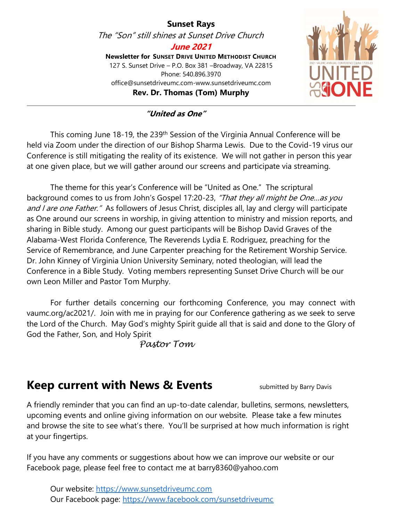#### **Sunset Rays** The "Son" still shines at Sunset Drive Church **June 2021 Newsletter for SUNSET DRIVE UNITED METHODIST CHURCH** 127 S. Sunset Drive – P.O. Box 381 –Broadway, VA 22815 Phone: 540.896.3970 office@sunsetdriveumc.com-www.sunsetdriveumc.com **Rev. Dr. Thomas (Tom) Murphy**



#### **"United as One"**

This coming June 18-19, the 239<sup>th</sup> Session of the Virginia Annual Conference will be held via Zoom under the direction of our Bishop Sharma Lewis. Due to the Covid-19 virus our Conference is still mitigating the reality of its existence. We will not gather in person this year at one given place, but we will gather around our screens and participate via streaming.

The theme for this year's Conference will be "United as One." The scriptural background comes to us from John's Gospel 17:20-23, "That they all might be One...as you and I are one Father." As followers of Jesus Christ, disciples all, lay and clergy will participate as One around our screens in worship, in giving attention to ministry and mission reports, and sharing in Bible study. Among our guest participants will be Bishop David Graves of the Alabama-West Florida Conference, The Reverends Lydia E. Rodriguez, preaching for the Service of Remembrance, and June Carpenter preaching for the Retirement Worship Service. Dr. John Kinney of Virginia Union University Seminary, noted theologian, will lead the Conference in a Bible Study. Voting members representing Sunset Drive Church will be our own Leon Miller and Pastor Tom Murphy.

For further details concerning our forthcoming Conference, you may connect with vaumc.org/ac2021/. Join with me in praying for our Conference gathering as we seek to serve the Lord of the Church. May God's mighty Spirit guide all that is said and done to the Glory of God the Father, Son, and Holy Spirit

 *Pastor Tom*

#### Keep current with News & Events **Submitted by Barry Davis**

A friendly reminder that you can find an up-to-date calendar, bulletins, sermons, newsletters, upcoming events and online giving information on our website. Please take a few minutes and browse the site to see what's there. You'll be surprised at how much information is right at your fingertips.

If you have any comments or suggestions about how we can improve our website or our Facebook page, please feel free to contact me at barry8360@yahoo.com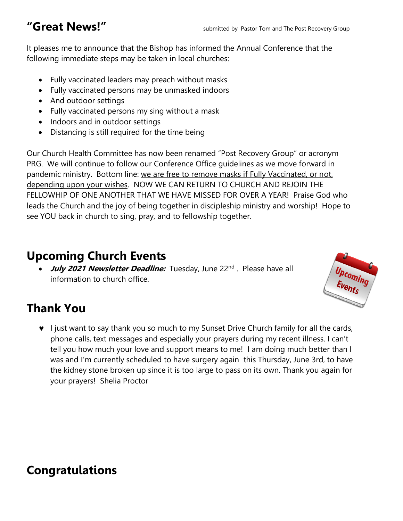It pleases me to announce that the Bishop has informed the Annual Conference that the following immediate steps may be taken in local churches:

- Fully vaccinated leaders may preach without masks
- Fully vaccinated persons may be unmasked indoors
- And outdoor settings
- Fully vaccinated persons my sing without a mask
- Indoors and in outdoor settings
- Distancing is still required for the time being

Our Church Health Committee has now been renamed "Post Recovery Group" or acronym PRG. We will continue to follow our Conference Office guidelines as we move forward in pandemic ministry. Bottom line: we are free to remove masks if Fully Vaccinated, or not, depending upon your wishes. NOW WE CAN RETURN TO CHURCH AND REJOIN THE FELLOWHIP OF ONE ANOTHER THAT WE HAVE MISSED FOR OVER A YEAR! Praise God who leads the Church and the joy of being together in discipleship ministry and worship! Hope to see YOU back in church to sing, pray, and to fellowship together.

#### **Upcoming Church Events**

• July 2021 Newsletter Deadline: Tuesday, June 22<sup>nd</sup>. Please have all information to church office.

# **Thank You**

 $\bullet$  I just want to say thank you so much to my Sunset Drive Church family for all the cards, phone calls, text messages and especially your prayers during my recent illness. I can't tell you how much your love and support means to me! I am doing much better than I was and I'm currently scheduled to have surgery again this Thursday, June 3rd, to have the kidney stone broken up since it is too large to pass on its own. Thank you again for your prayers! Shelia Proctor

# Upcoming<br>Events

#### **Congratulations**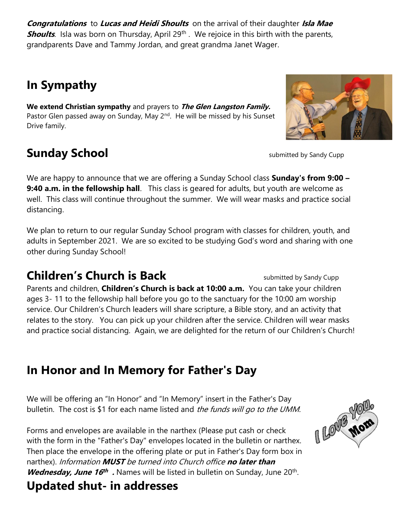**Congratulations** to **Lucas and Heidi Shoults** on the arrival of their daughter **Isla Mae Shoults**. Isla was born on Thursday, April 29<sup>th</sup>. We rejoice in this birth with the parents, grandparents Dave and Tammy Jordan, and great grandma Janet Wager.

# **In Sympathy**

**We extend Christian sympathy** and prayers to **The Glen Langston Family.**  Pastor Glen passed away on Sunday, May 2<sup>nd</sup>. He will be missed by his Sunset Drive family.

# **Sunday School** Submitted by Sandy Cupp

We are happy to announce that we are offering a Sunday School class **Sunday's from 9:00 – 9:40 a.m. in the fellowship hall**. This class is geared for adults, but youth are welcome as well. This class will continue throughout the summer. We will wear masks and practice social distancing.

We plan to return to our regular Sunday School program with classes for children, youth, and adults in September 2021. We are so excited to be studying God's word and sharing with one other during Sunday School!

### **Children's Church is Back** submitted by Sandy Cupp

Parents and children, **Children's Church is back at 10:00 a.m.** You can take your children ages 3- 11 to the fellowship hall before you go to the sanctuary for the 10:00 am worship service. Our Children's Church leaders will share scripture, a Bible story, and an activity that relates to the story. You can pick up your children after the service. Children will wear masks and practice social distancing. Again, we are delighted for the return of our Children's Church!

# **In Honor and In Memory for Father's Day**

We will be offering an "In Honor" and "In Memory" insert in the Father's Day bulletin. The cost is \$1 for each name listed and the funds will go to the UMM.

Forms and envelopes are available in the narthex (Please put cash or check with the form in the "Father's Day" envelopes located in the bulletin or narthex. Then place the envelope in the offering plate or put in Father's Day form box in narthex). Information **MUST** be turned into Church office **no later than Wednesday, June 16<sup>th</sup>.** Names will be listed in bulletin on Sunday, June 20<sup>th</sup>.





# **Updated shut- in addresses**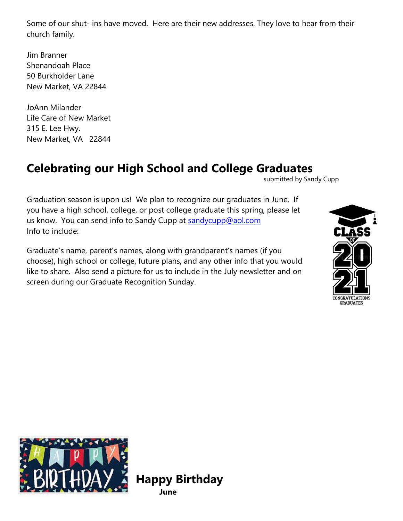Some of our shut- ins have moved. Here are their new addresses. They love to hear from their church family.

Jim Branner Shenandoah Place 50 Burkholder Lane New Market, VA 22844

JoAnn Milander Life Care of New Market 315 E. Lee Hwy. New Market, VA 22844

#### **Celebrating our High School and College Graduates**

submitted by Sandy Cupp

Graduation season is upon us! We plan to recognize our graduates in June. If you have a high school, college, or post college graduate this spring, please let us know. You can send info to Sandy Cupp at sandycupp@aol.com Info to include:

Graduate's name, parent's names, along with grandparent's names (if you choose), high school or college, future plans, and any other info that you would like to share. Also send a picture for us to include in the July newsletter and on screen during our Graduate Recognition Sunday.





**Happy Birthday June**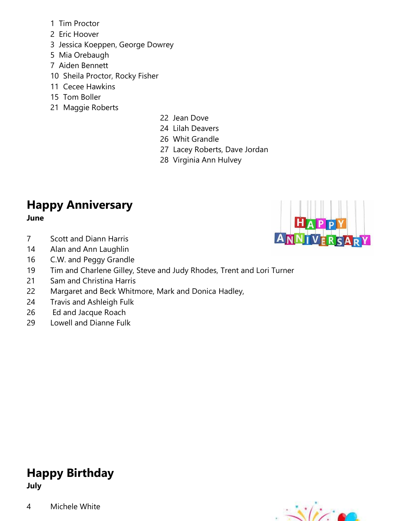- 1 Tim Proctor
- 2 Eric Hoover
- 3 Jessica Koeppen, George Dowrey
- 5 Mia Orebaugh
- 7 Aiden Bennett
- 10 Sheila Proctor, Rocky Fisher
- 11 Cecee Hawkins
- 15 Tom Boller
- 21 Maggie Roberts
- 22 Jean Dove
- 24 Lilah Deavers
- 26 Whit Grandle
- 27 Lacey Roberts, Dave Jordan
- 28 Virginia Ann Hulvey

#### **Happy Anniversary June**

- 7 Scott and Diann Harris
- 14 Alan and Ann Laughlin
- 16 C.W. and Peggy Grandle
- 19 Tim and Charlene Gilley, Steve and Judy Rhodes, Trent and Lori Turner
- 21 Sam and Christina Harris
- 22 Margaret and Beck Whitmore, Mark and Donica Hadley,
- 24 Travis and Ashleigh Fulk
- 26 Ed and Jacque Roach
- 29 Lowell and Dianne Fulk

#### **Happy Birthday July**